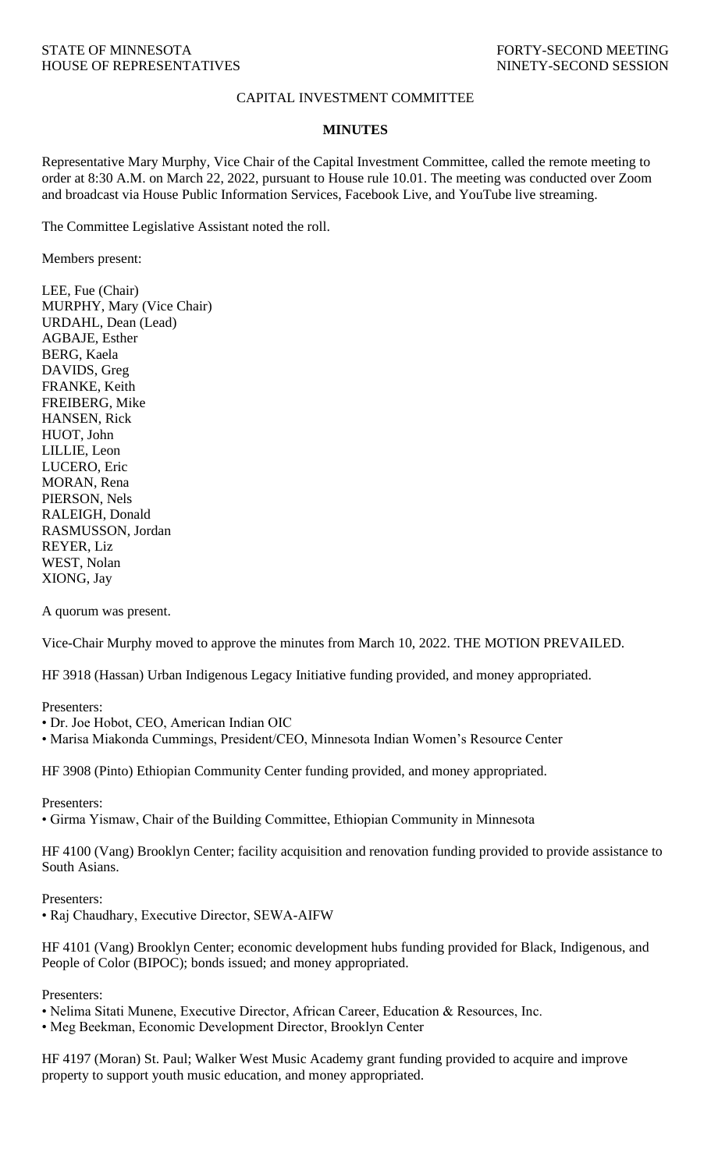## CAPITAL INVESTMENT COMMITTEE

## **MINUTES**

Representative Mary Murphy, Vice Chair of the Capital Investment Committee, called the remote meeting to order at 8:30 A.M. on March 22, 2022, pursuant to House rule 10.01. The meeting was conducted over Zoom and broadcast via House Public Information Services, Facebook Live, and YouTube live streaming.

The Committee Legislative Assistant noted the roll.

Members present:

LEE, Fue (Chair) MURPHY, Mary (Vice Chair) URDAHL, Dean (Lead) AGBAJE, Esther BERG, Kaela DAVIDS, Greg FRANKE, Keith FREIBERG, Mike HANSEN, Rick HUOT, John LILLIE, Leon LUCERO, Eric MORAN, Rena PIERSON, Nels RALEIGH, Donald RASMUSSON, Jordan REYER, Liz WEST, Nolan XIONG, Jay

A quorum was present.

Vice-Chair Murphy moved to approve the minutes from March 10, 2022. THE MOTION PREVAILED.

HF 3918 (Hassan) Urban Indigenous Legacy Initiative funding provided, and money appropriated.

Presenters:

- Dr. Joe Hobot, CEO, American Indian OIC
- Marisa Miakonda Cummings, President/CEO, Minnesota Indian Women's Resource Center

HF 3908 (Pinto) Ethiopian Community Center funding provided, and money appropriated.

Presenters:

• Girma Yismaw, Chair of the Building Committee, Ethiopian Community in Minnesota

HF 4100 (Vang) Brooklyn Center; facility acquisition and renovation funding provided to provide assistance to South Asians.

Presenters:

• Raj Chaudhary, Executive Director, SEWA-AIFW

HF 4101 (Vang) Brooklyn Center; economic development hubs funding provided for Black, Indigenous, and People of Color (BIPOC); bonds issued; and money appropriated.

Presenters:

• Nelima Sitati Munene, Executive Director, African Career, Education & Resources, Inc.

• Meg Beekman, Economic Development Director, Brooklyn Center

HF 4197 (Moran) St. Paul; Walker West Music Academy grant funding provided to acquire and improve property to support youth music education, and money appropriated.